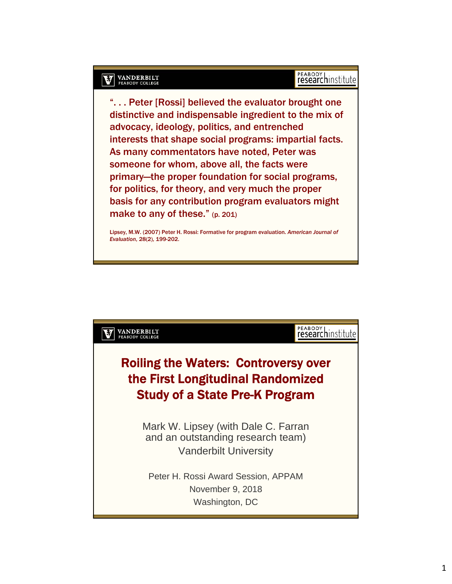#### **VANDERBILT**<br>PEABODY COLLEGE M

# PEABODY<br> **research** institute

". . . Peter [Rossi] believed the evaluator brought one distinctive and indispensable ingredient to the mix of advocacy, ideology, politics, and entrenched interests that shape social programs: impartial facts. As many commentators have noted, Peter was someone for whom, above all, the facts were primary—the proper foundation for social programs, for politics, for theory, and very much the proper basis for any contribution program evaluators might make to any of these." (p. 201)

Lipsey, M.W. (2007) Peter H. Rossi: Formative for program evaluation. *American Journal of Evaluation*, 28(2), 199-202.

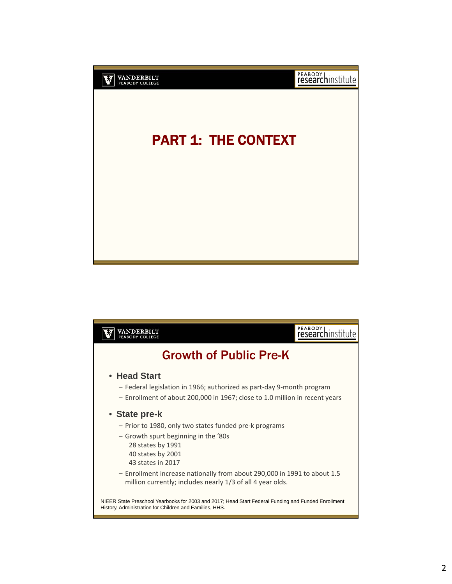

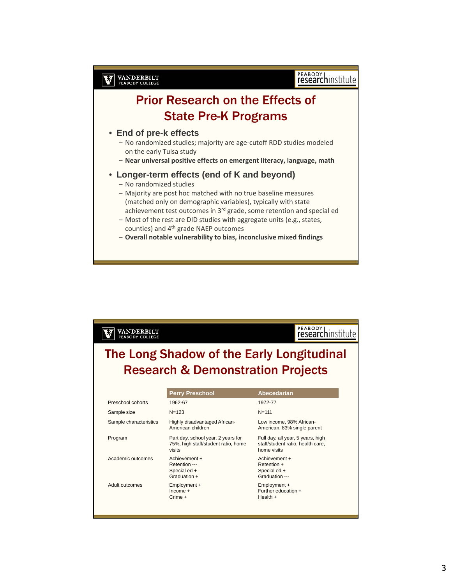

– **Overall notable vulnerability to bias, inconclusive mixed findings**

| VANDERBILT<br>PEABODY COLLEGE |                                                    | researchinstitute                                      |
|-------------------------------|----------------------------------------------------|--------------------------------------------------------|
|                               |                                                    | The Long Shadow of the Early Longitudinal              |
|                               |                                                    | <b>Research &amp; Demonstration Projects</b>           |
|                               |                                                    |                                                        |
|                               | <b>Perry Preschool</b>                             | Abecedarian                                            |
| Preschool cohorts             | 1962-67                                            | 1972-77                                                |
| Sample size                   | $N = 123$                                          | $N = 111$                                              |
| Sample characteristics        | Highly disadvantaged African-<br>American children | Low income, 98% African-<br>American 83% single parent |

| Preschool cohorts      | 1962-67                                                                             | 1972-77                                                                               |
|------------------------|-------------------------------------------------------------------------------------|---------------------------------------------------------------------------------------|
| Sample size            | $N = 123$                                                                           | $N = 111$                                                                             |
| Sample characteristics | Highly disadvantaged African-<br>American children                                  | Low income, 98% African-<br>American, 83% single parent                               |
| Program                | Part day, school year, 2 years for<br>75%, high staff/student ratio, home<br>visits | Full day, all year, 5 years, high<br>staff/student ratio, health care,<br>home visits |
| Academic outcomes      | Achievement +<br>Retention ---<br>Special ed +<br>Graduation +                      | Achievement +<br>Retention +<br>Special ed +<br>Graduation ---                        |
| Adult outcomes         | Employment +<br>$Income +$<br>$C$ rime +                                            | Employment +<br>Further education +<br>Health $+$                                     |
|                        |                                                                                     |                                                                                       |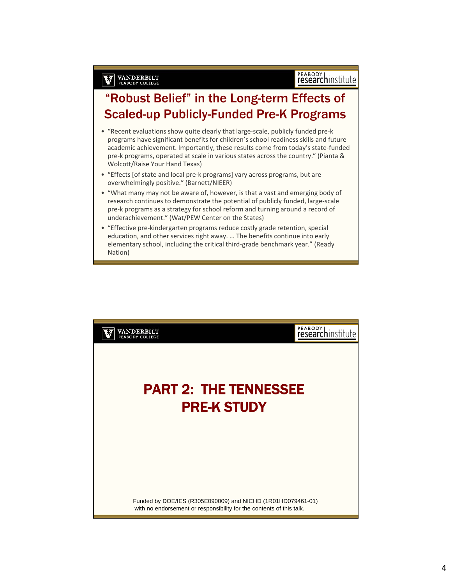#### "Robust Belief" in the Long-term Effects of Scaled-up Publicly-Funded Pre-K Programs

**VANDERBILT** 

- "Recent evaluations show quite clearly that large‐scale, publicly funded pre‐k programs have significant benefits for children's school readiness skills and future academic achievement. Importantly, these results come from today's state-funded pre‐k programs, operated at scale in various states across the country." (Pianta & Wolcott/Raise Your Hand Texas)
- "Effects [of state and local pre‐k programs] vary across programs, but are overwhelmingly positive." (Barnett/NIEER)
- "What many may not be aware of, however, is that a vast and emerging body of research continues to demonstrate the potential of publicly funded, large-scale pre‐k programs as a strategy for school reform and turning around a record of underachievement." (Wat/PEW Center on the States)
- "Effective pre‐kindergarten programs reduce costly grade retention, special education, and other services right away. … The benefits continue into early elementary school, including the critical third‐grade benchmark year." (Ready Nation)

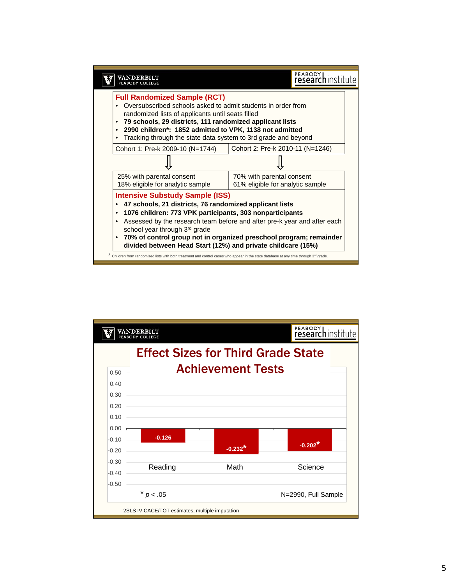

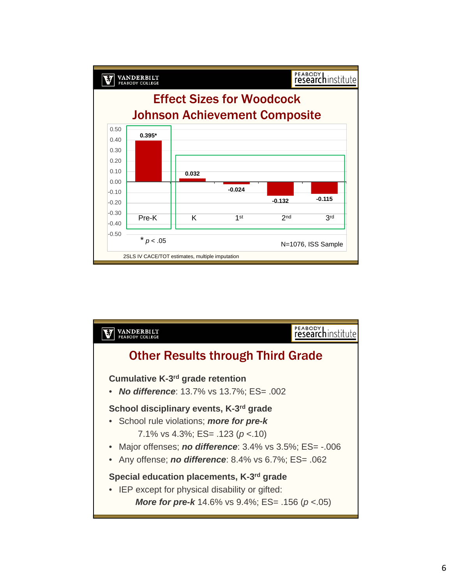

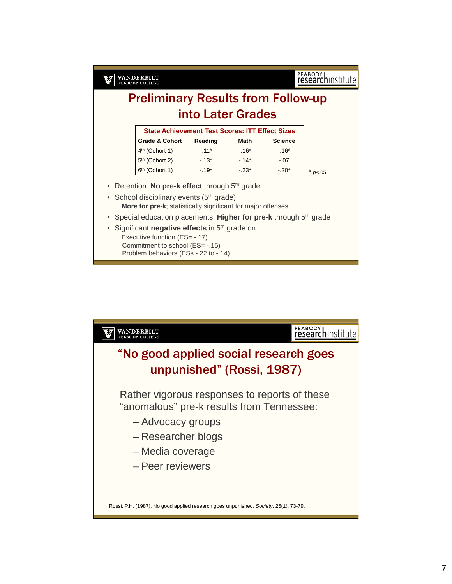PEABODY<br> **research**institute **VANDERBILT**<br>PEABODY COLLEGE M Preliminary Results from Follow-up into Later Grades **State Achievement Test Scores: ITT Effect Sizes Grade & Cohort Reading Math Science** 4<sup>th</sup> (Cohort 1) -.11<sup>\*</sup> -.16<sup>\*</sup> -.16<sup>\*</sup> 5<sup>th</sup> (Cohort 2) -.13<sup>\*</sup> -.14<sup>\*</sup> -.07 6<sup>th</sup> (Cohort 1)  $-.19^*$   $-.23^*$   $-.20^*$   $*$   $<sub>p</sub> <sub>05</sub>$ </sub> • Retention: No pre-k effect through 5<sup>th</sup> grade • School disciplinary events  $(5<sup>th</sup> grade)$ : **More for pre-k**; statistically significant for major offenses Special education placements: Higher for pre-k through 5<sup>th</sup> grade

- Significant **negative effects** in 5<sup>th</sup> grade on:
	- Executive function (ES= -.17) Commitment to school (ES= -.15) Problem behaviors (ESs -.22 to -.14)

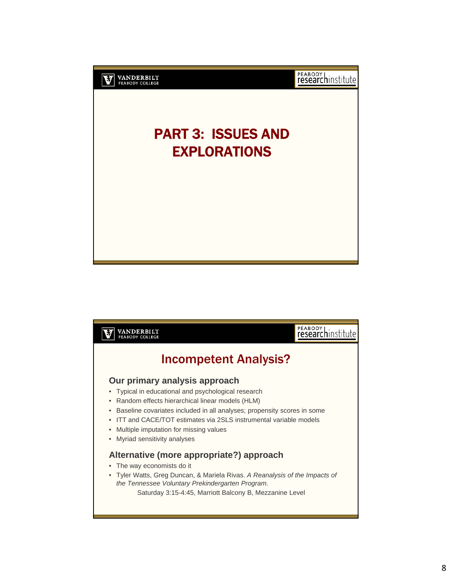

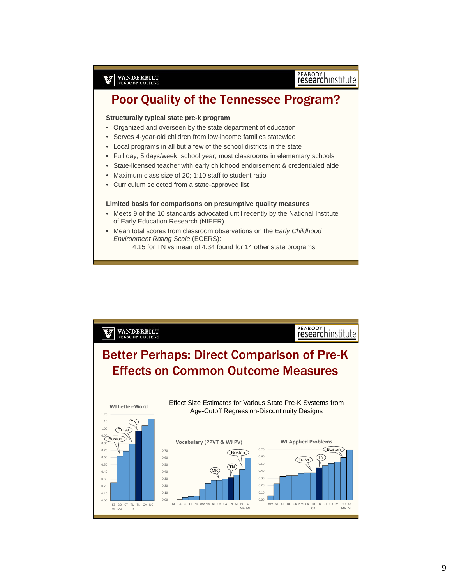# PEABODY<br> **research**institute

# Poor Quality of the Tennessee Program?

#### **Structurally typical state pre-k program**

**VANDERBILT**<br>PEABODY COLLEGE

V

- Organized and overseen by the state department of education
- Serves 4-year-old children from low-income families statewide
- Local programs in all but a few of the school districts in the state
- Full day, 5 days/week, school year; most classrooms in elementary schools
- State-licensed teacher with early childhood endorsement & credentialed aide
- Maximum class size of 20; 1:10 staff to student ratio
- Curriculum selected from a state-approved list

#### **Limited basis for comparisons on presumptive quality measures**

- Meets 9 of the 10 standards advocated until recently by the National Institute of Early Education Research (NIEER)
- Mean total scores from classroom observations on the *Early Childhood Environment Rating Scale* (ECERS):
	- 4.15 for TN vs mean of 4.34 found for 14 other state programs

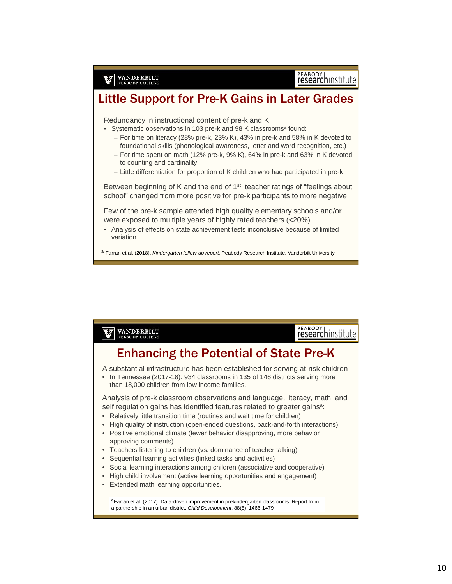#### Little Support for Pre-K Gains in Later Grades

Redundancy in instructional content of pre-k and K

**VANDERBILT**<br>PEABODY COLLEGE

M

- Systematic observations in 103 pre-k and 98 K classrooms<sup>a</sup> found:
	- For time on literacy (28% pre-k, 23% K), 43% in pre-k and 58% in K devoted to foundational skills (phonological awareness, letter and word recognition, etc.)
	- For time spent on math (12% pre-k, 9% K), 64% in pre-k and 63% in K devoted to counting and cardinality
	- Little differentiation for proportion of K children who had participated in pre-k

Between beginning of K and the end of 1<sup>st</sup>, teacher ratings of "feelings about school" changed from more positive for pre-k participants to more negative

Few of the pre-k sample attended high quality elementary schools and/or were exposed to multiple years of highly rated teachers (<20%)

• Analysis of effects on state achievement tests inconclusive because of limited variation

<sup>a</sup> Farran et al. (2018). *Kindergarten follow-up report.* Peabody Research Institute, Vanderbilt University

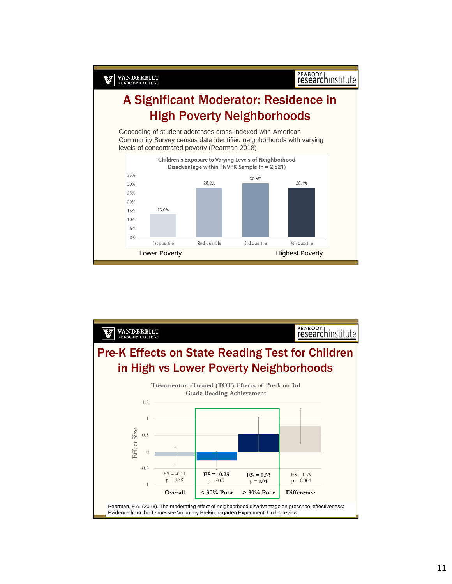